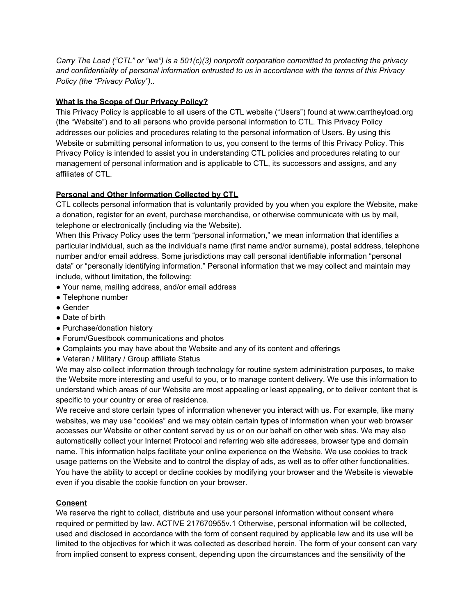*Carry The Load ("CTL" or "we") is a 501(c)(3) nonprofit corporation committed to protecting the privacy and confidentiality of personal information entrusted to us in accordance with the terms of this Privacy Policy (the "Privacy Policy")..*

## **What Is the Scope of Our Privacy Policy?**

This Privacy Policy is applicable to all users of the CTL website ("Users") found at www.carrtheyload.org (the "Website") and to all persons who provide personal information to CTL. This Privacy Policy addresses our policies and procedures relating to the personal information of Users. By using this Website or submitting personal information to us, you consent to the terms of this Privacy Policy. This Privacy Policy is intended to assist you in understanding CTL policies and procedures relating to our management of personal information and is applicable to CTL, its successors and assigns, and any affiliates of CTL.

## **Personal and Other Information Collected by CTL**

CTL collects personal information that is voluntarily provided by you when you explore the Website, make a donation, register for an event, purchase merchandise, or otherwise communicate with us by mail, telephone or electronically (including via the Website).

When this Privacy Policy uses the term "personal information," we mean information that identifies a particular individual, such as the individual's name (first name and/or surname), postal address, telephone number and/or email address. Some jurisdictions may call personal identifiable information "personal data" or "personally identifying information." Personal information that we may collect and maintain may include, without limitation, the following:

- Your name, mailing address, and/or email address
- Telephone number
- Gender
- Date of birth
- Purchase/donation history
- Forum/Guestbook communications and photos
- Complaints you may have about the Website and any of its content and offerings
- Veteran / Military / Group affiliate Status

We may also collect information through technology for routine system administration purposes, to make the Website more interesting and useful to you, or to manage content delivery. We use this information to understand which areas of our Website are most appealing or least appealing, or to deliver content that is specific to your country or area of residence.

We receive and store certain types of information whenever you interact with us. For example, like many websites, we may use "cookies" and we may obtain certain types of information when your web browser accesses our Website or other content served by us or on our behalf on other web sites. We may also automatically collect your Internet Protocol and referring web site addresses, browser type and domain name. This information helps facilitate your online experience on the Website. We use cookies to track usage patterns on the Website and to control the display of ads, as well as to offer other functionalities. You have the ability to accept or decline cookies by modifying your browser and the Website is viewable even if you disable the cookie function on your browser.

#### **Consent**

We reserve the right to collect, distribute and use your personal information without consent where required or permitted by law. ACTIVE 217670955v.1 Otherwise, personal information will be collected, used and disclosed in accordance with the form of consent required by applicable law and its use will be limited to the objectives for which it was collected as described herein. The form of your consent can vary from implied consent to express consent, depending upon the circumstances and the sensitivity of the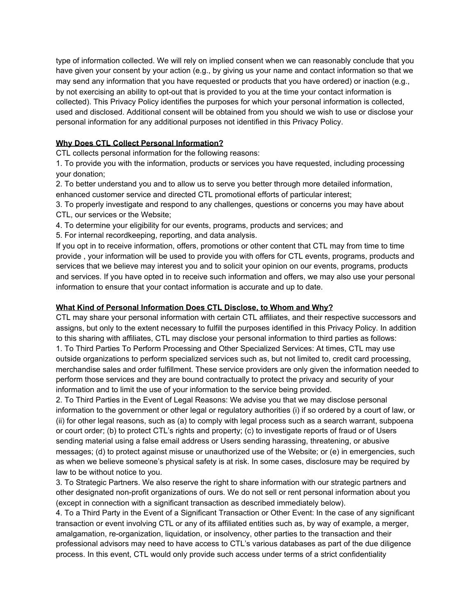type of information collected. We will rely on implied consent when we can reasonably conclude that you have given your consent by your action (e.g., by giving us your name and contact information so that we may send any information that you have requested or products that you have ordered) or inaction (e.g., by not exercising an ability to opt-out that is provided to you at the time your contact information is collected). This Privacy Policy identifies the purposes for which your personal information is collected, used and disclosed. Additional consent will be obtained from you should we wish to use or disclose your personal information for any additional purposes not identified in this Privacy Policy.

# **Why Does CTL Collect Personal Information?**

CTL collects personal information for the following reasons:

1. To provide you with the information, products or services you have requested, including processing your donation;

2. To better understand you and to allow us to serve you better through more detailed information, enhanced customer service and directed CTL promotional efforts of particular interest;

3. To properly investigate and respond to any challenges, questions or concerns you may have about CTL, our services or the Website;

4. To determine your eligibility for our events, programs, products and services; and

5. For internal recordkeeping, reporting, and data analysis.

If you opt in to receive information, offers, promotions or other content that CTL may from time to time provide , your information will be used to provide you with offers for CTL events, programs, products and services that we believe may interest you and to solicit your opinion on our events, programs, products and services. If you have opted in to receive such information and offers, we may also use your personal information to ensure that your contact information is accurate and up to date.

#### **What Kind of Personal Information Does CTL Disclose, to Whom and Why?**

CTL may share your personal information with certain CTL affiliates, and their respective successors and assigns, but only to the extent necessary to fulfill the purposes identified in this Privacy Policy. In addition to this sharing with affiliates, CTL may disclose your personal information to third parties as follows: 1. To Third Parties To Perform Processing and Other Specialized Services: At times, CTL may use outside organizations to perform specialized services such as, but not limited to, credit card processing, merchandise sales and order fulfillment. These service providers are only given the information needed to perform those services and they are bound contractually to protect the privacy and security of your information and to limit the use of your information to the service being provided.

2. To Third Parties in the Event of Legal Reasons: We advise you that we may disclose personal information to the government or other legal or regulatory authorities (i) if so ordered by a court of law, or (ii) for other legal reasons, such as (a) to comply with legal process such as a search warrant, subpoena or court order; (b) to protect CTL's rights and property; (c) to investigate reports of fraud or of Users sending material using a false email address or Users sending harassing, threatening, or abusive messages; (d) to protect against misuse or unauthorized use of the Website; or (e) in emergencies, such as when we believe someone's physical safety is at risk. In some cases, disclosure may be required by law to be without notice to you.

3. To Strategic Partners. We also reserve the right to share information with our strategic partners and other designated non-profit organizations of ours. We do not sell or rent personal information about you (except in connection with a significant transaction as described immediately below).

4. To a Third Party in the Event of a Significant Transaction or Other Event: In the case of any significant transaction or event involving CTL or any of its affiliated entities such as, by way of example, a merger, amalgamation, re-organization, liquidation, or insolvency, other parties to the transaction and their professional advisors may need to have access to CTL's various databases as part of the due diligence process. In this event, CTL would only provide such access under terms of a strict confidentiality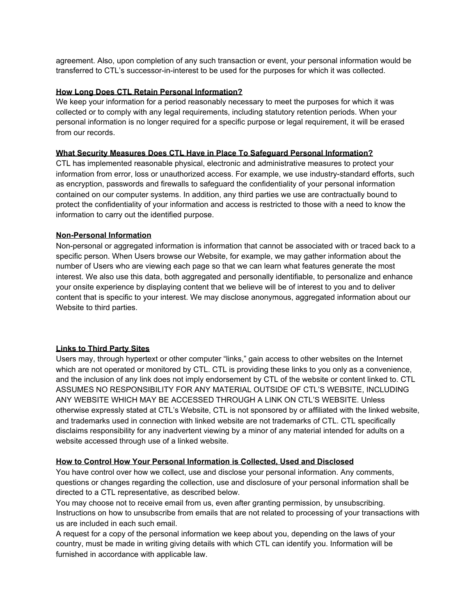agreement. Also, upon completion of any such transaction or event, your personal information would be transferred to CTL's successor-in-interest to be used for the purposes for which it was collected.

#### **How Long Does CTL Retain Personal Information?**

We keep your information for a period reasonably necessary to meet the purposes for which it was collected or to comply with any legal requirements, including statutory retention periods. When your personal information is no longer required for a specific purpose or legal requirement, it will be erased from our records.

#### **What Security Measures Does CTL Have in Place To Safeguard Personal Information?**

CTL has implemented reasonable physical, electronic and administrative measures to protect your information from error, loss or unauthorized access. For example, we use industry-standard efforts, such as encryption, passwords and firewalls to safeguard the confidentiality of your personal information contained on our computer systems. In addition, any third parties we use are contractually bound to protect the confidentiality of your information and access is restricted to those with a need to know the information to carry out the identified purpose.

## **Non-Personal Information**

Non-personal or aggregated information is information that cannot be associated with or traced back to a specific person. When Users browse our Website, for example, we may gather information about the number of Users who are viewing each page so that we can learn what features generate the most interest. We also use this data, both aggregated and personally identifiable, to personalize and enhance your onsite experience by displaying content that we believe will be of interest to you and to deliver content that is specific to your interest. We may disclose anonymous, aggregated information about our Website to third parties.

#### **Links to Third Party Sites**

Users may, through hypertext or other computer "links," gain access to other websites on the Internet which are not operated or monitored by CTL. CTL is providing these links to you only as a convenience, and the inclusion of any link does not imply endorsement by CTL of the website or content linked to. CTL ASSUMES NO RESPONSIBILITY FOR ANY MATERIAL OUTSIDE OF CTL'S WEBSITE, INCLUDING ANY WEBSITE WHICH MAY BE ACCESSED THROUGH A LINK ON CTL'S WEBSITE. Unless otherwise expressly stated at CTL's Website, CTL is not sponsored by or affiliated with the linked website, and trademarks used in connection with linked website are not trademarks of CTL. CTL specifically disclaims responsibility for any inadvertent viewing by a minor of any material intended for adults on a website accessed through use of a linked website.

#### **How to Control How Your Personal Information is Collected, Used and Disclosed**

You have control over how we collect, use and disclose your personal information. Any comments, questions or changes regarding the collection, use and disclosure of your personal information shall be directed to a CTL representative, as described below.

You may choose not to receive email from us, even after granting permission, by unsubscribing. Instructions on how to unsubscribe from emails that are not related to processing of your transactions with us are included in each such email.

A request for a copy of the personal information we keep about you, depending on the laws of your country, must be made in writing giving details with which CTL can identify you. Information will be furnished in accordance with applicable law.